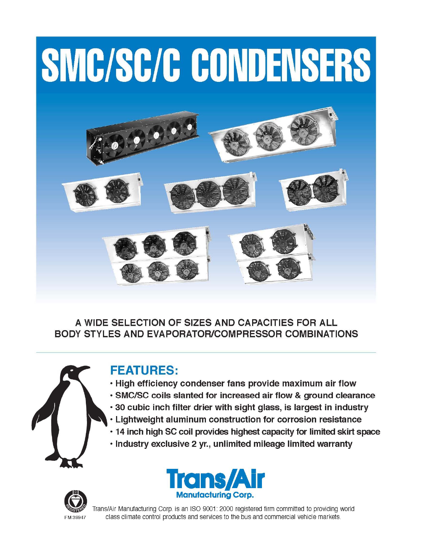# SMC/SC/C CONDENSERS



A WIDE SELECTION OF SIZES AND CAPACITIES FOR ALL **BODY STYLES AND EVAPORATOR/COMPRESSOR COMBINATIONS** 



# **FEATURES:**

- . High efficiency condenser fans provide maximum air flow
- · SMC/SC coils slanted for increased air flow & ground clearance
- . 30 cubic inch filter drier with sight glass, is largest in industry
- . Lightweight aluminum construction for corrosion resistance
- · 14 inch high SC coil provides highest capacity for limited skirt space
- · Industry exclusive 2 yr., unlimited mileage limited warranty





Trans/Air Manufacturing Corp. is an ISO 9001: 2000 registered firm committed to providing world class climate control products and services to the bus and commercial vehicle markets.